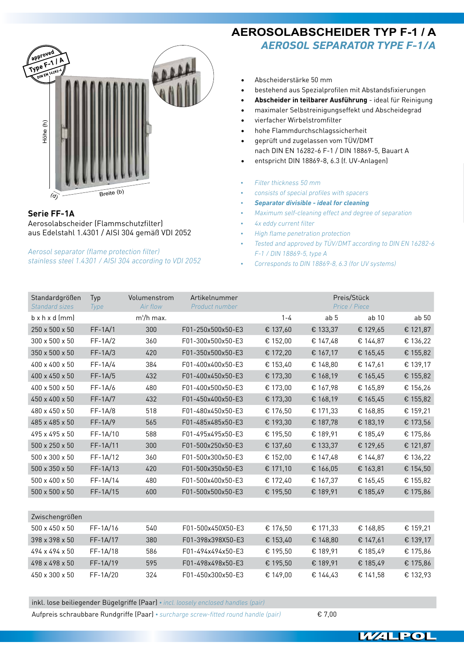

## **Serie FF-1A**

Aerosolabscheider (Flammschutzfilter) aus Edelstahl 1.4301 / AISI 304 gemäß VDI 2052

*Aerosol separator (flame protection filter) stainless steel 1.4301 / AISI 304 according to VDI 2052* **AEROSOLABSCHEIDER TYP F-1 / A** *Aerosol separator type F-1/A*

- • Abscheiderstärke 50 mm
- • bestehend aus Spezialprofilen mit Abstandsfixierungen
- **• Abscheider in teilbarer Ausführung** ideal für Reinigung
- • maximaler Selbstreinigungseffekt und Abscheidegrad
- • vierfacher Wirbelstromfilter
- hohe Flammdurchschlagssicherheit
- geprüft und zugelassen vom TÜV/DMT nach DIN EN 16282-6 F-1 / DIN 18869-5, Bauart A
- entspricht DIN 18869-8, 6.3 (f. UV-Anlagen)
- *• Filter thickness 50 mm*
- *• consists of special profiles with spacers*
- *• Separator divisible ideal for cleaning*
- *• Maximum self-cleaning effect and degree of separation*
- *• 4x eddy current filter*
- *• High flame penetration protection*
- *• Tested and approved by TÜV/DMT according to DIN EN 16282-6 F-1 / DIN 18869-5, type A*
- *• Corresponds to DIN 18869-8, 6.3 (for UV systems)*

| Standardgrößen<br><b>Standard sizes</b> | Typ<br>Type | Volumenstrom<br>Air flow | Artikelnummer<br>Product number |          |                 | Preis/Stück<br>Price / Piece |                  |
|-----------------------------------------|-------------|--------------------------|---------------------------------|----------|-----------------|------------------------------|------------------|
| $b \times h \times d$ (mm)              |             | $m^3/h$ max.             |                                 | $1 - 4$  | ab <sub>5</sub> | ab <sub>10</sub>             | ab <sub>50</sub> |
| 250 x 500 x 50                          | $FF-1A/1$   | 300                      | F01-250x500x50-E3               | € 137,60 | € 133,37        | € 129,65                     | € 121,87         |
| 300 x 500 x 50                          | $FF-1A/2$   | 360                      | F01-300x500x50-E3               | € 152,00 | € 147,48        | € 144,87                     | € 136,22         |
| 350 x 500 x 50                          | $FF-1A/3$   | 420                      | F01-350x500x50-E3               | € 172,20 | € 167,17        | € 165,45                     | € 155,82         |
| 400 x 400 x 50                          | $FF-1A/4$   | 384                      | F01-400x400x50-E3               | € 153,40 | € 148,80        | € 147,61                     | € 139,17         |
| 400 x 450 x 50                          | $FF-1A/5$   | 432                      | F01-400x450x50-E3               | € 173,30 | € 168,19        | € 165,45                     | € 155,82         |
| 400 x 500 x 50                          | $FF-1A/6$   | 480                      | F01-400x500x50-E3               | € 173,00 | € 167,98        | € 165,89                     | € 156,26         |
| 450 x 400 x 50                          | $FF-1A/7$   | 432                      | F01-450x400x50-E3               | € 173,30 | € 168,19        | € 165,45                     | € 155,82         |
| 480 x 450 x 50                          | $FF-1A/8$   | 518                      | F01-480x450x50-E3               | € 176,50 | € 171,33        | € 168,85                     | € 159,21         |
| 485 x 485 x 50                          | $FF-1A/9$   | 565                      | F01-485x485x50-E3               | € 193,30 | € 187,78        | € 183,19                     | € 173,56         |
| 495 x 495 x 50                          | FF-1A/10    | 588                      | F01-495x495x50-E3               | € 195,50 | € 189,91        | € 185,49                     | € 175,86         |
| 500 x 250 x 50                          | FF-1A/11    | 300                      | F01-500x250x50-E3               | € 137,60 | € 133,37        | € 129,65                     | € 121,87         |
| 500 x 300 x 50                          | FF-1A/12    | 360                      | F01-500x300x50-E3               | € 152,00 | € 147,48        | € 144,87                     | € 136,22         |
| $500 \times 350 \times 50$              | FF-1A/13    | 420                      | F01-500x350x50-E3               | € 171,10 | € 166,05        | € 163,81                     | € 154,50         |
| 500 x 400 x 50                          | FF-1A/14    | 480                      | F01-500x400x50-E3               | € 172,40 | € 167,37        | € 165,45                     | € 155,82         |
| 500 x 500 x 50                          | FF-1A/15    | 600                      | F01-500x500x50-E3               | € 195,50 | € 189,91        | € 185,49                     | € 175,86         |
|                                         |             |                          |                                 |          |                 |                              |                  |
| Zwischengrößen                          |             |                          |                                 |          |                 |                              |                  |
| 500 x 450 x 50                          | FF-1A/16    | 540                      | F01-500x450X50-E3               | € 176,50 | € 171,33        | € 168,85                     | € 159,21         |
| 398 x 398 x 50                          | FF-1A/17    | 380                      | F01-398x398X50-E3               | € 153,40 | € 148,80        | € 147,61                     | € 139,17         |
| 494 x 494 x 50                          | FF-1A/18    | 586                      | F01-494x494x50-E3               | € 195,50 | € 189,91        | € 185,49                     | € 175,86         |
| 498 x 498 x 50                          | FF-1A/19    | 595                      | F01-498x498x50-E3               | € 195,50 | € 189,91        | € 185,49                     | € 175,86         |
| 450 x 300 x 50                          | FF-1A/20    | 324                      | F01-450x300x50-E3               | € 149,00 | € 144,43        | € 141,58                     | € 132,93         |

inkl. lose beiliegender Bügelgriffe (Paar) *• incl. loosely enclosed handles (pair)*

Aufpreis schraubbare Rundgriffe (Paar) *• surcharge screw-fitted round handle (pair)* € 7,00

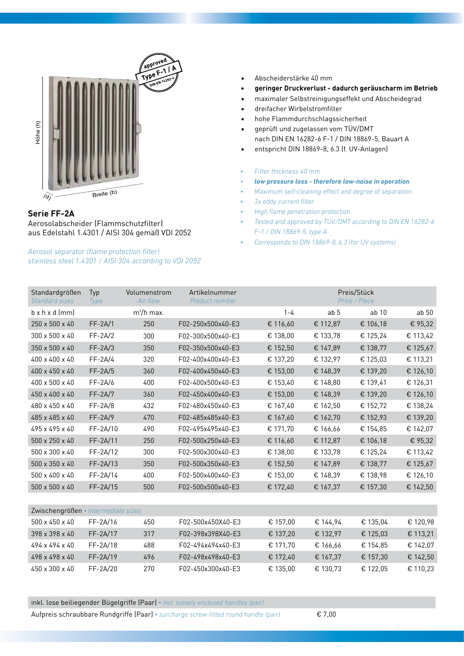

## **Serie FF-2A**

Aerosolabscheider (Flammschutzfilter) aus Edelstahl 1.4301 / AISI 304 gemäß VDI 2052

*Aerosol separator (flame protection filter) stainless steel 1.4301 / AISI 304 according to VDI 2052*

- **DIN EN 16282-6** • Abscheiderstärke 40 mm
- **• geringer Druckverlust dadurch geräuscharm im Betrieb**
- • maximaler Selbstreinigungseffekt und Abscheidegrad
- • dreifacher Wirbelstromfilter
- • hohe Flammdurchschlagssicherheit
- geprüft und zugelassen vom TÜV/DMT nach DIN EN 16282-6 F-1 / DIN 18869-5, Bauart A
- • entspricht DIN 18869-8, 6.3 (f. UV-Anlagen)
- *• Filter thickness 40 mm*
- *• low pressure loss therefore low-noise in operation*
- *• Maximum self-cleaning effect and degree of separation*
- *• 3x eddy current filter*
- *• High flame penetration protection*
- *• Tested and approved by TÜV/DMT according to DIN EN 16282-6 F-1 / DIN 18869-5, type A*
- *• Corresponds to DIN 18869-8, 6.3 (for UV systems)*

| Standardgrößen<br><b>Standard sizes</b> | Typ<br>Type | Volumenstrom<br>Air flow | Artikelnummer<br>Product number | Preis/Stück<br>Price / Piece |                 |                  |          |  |
|-----------------------------------------|-------------|--------------------------|---------------------------------|------------------------------|-----------------|------------------|----------|--|
| $b \times h \times d$ (mm)              |             | m <sup>3</sup> /h max.   |                                 | $1 - 4$                      | ab <sub>5</sub> | ab <sub>10</sub> | ab 50    |  |
| 250 x 500 x 40                          | $FF-2A/1$   | 250                      | F02-250x500x40-E3               | € 116,60                     | € 112,87        | € 106,18         | € 95,32  |  |
| 300 x 500 x 40                          | $FF-2A/2$   | 300                      | F02-300x500x40-E3               | € 138,00                     | € 133,78        | € 125,24         | € 113,42 |  |
| 350 x 500 x 40                          | $FF-2A/3$   | 350                      | F02-350x500x40-E3               | € 152,50                     | € 147,89        | € 138,77         | € 125,67 |  |
| 400 x 400 x 40                          | $FF-2A/4$   | 320                      | F02-400x400x40-E3               | € 137,20                     | € 132,97        | € 125,03         | € 113,21 |  |
| 400 x 450 x 40                          | $FF-2A/5$   | 360                      | F02-400x450x40-E3               | € 153,00                     | € 148,39        | € 139,20         | € 126,10 |  |
| 400 x 500 x 40                          | $FF-2A/6$   | 400                      | F02-400x500x40-E3               | € 153,40                     | € 148,80        | € 139,41         | € 126,31 |  |
| 450 x 400 x 40                          | $FF-2A/7$   | 360                      | F02-450x400x40-E3               | € 153,00                     | € 148,39        | € 139,20         | € 126,10 |  |
| 480 x 450 x 40                          | $FF-2A/8$   | 432                      | F02-480x450x40-E3               | € 167,40                     | € 162,50        | € 152,72         | € 138,24 |  |
| 485 x 485 x 40                          | $FF-2A/9$   | 470                      | F02-485x485x40-E3               | € 167,60                     | € 162,70        | € 152,93         | € 139,20 |  |
| 495 x 495 x 40                          | FF-2A/10    | 490                      | F02-495x495x40-E3               | € 171,70                     | € 166,66        | € 154,85         | € 142,07 |  |
| 500 x 250 x 40                          | FF-2A/11    | 250                      | F02-500x250x40-E3               | € 116,60                     | € 112,87        | € 106,18         | € 95,32  |  |
| 500 x 300 x 40                          | FF-2A/12    | 300                      | F02-500x300x40-E3               | € 138,00                     | € 133,78        | € 125,24         | € 113,42 |  |
| 500 x 350 x 40                          | FF-2A/13    | 350                      | F02-500x350x40-E3               | € 152,50                     | € 147,89        | € 138,77         | € 125,67 |  |
| 500 x 400 x 40                          | FF-2A/14    | 400                      | F02-500x400x40-E3               | € 153,00                     | € 148,39        | € 138,98         | € 126,10 |  |
| 500 x 500 x 40                          | $FF-2A/15$  | 500                      | F02-500x500x40-E3               | € 172,40                     | € 167,37        | € 157,30         | € 142,50 |  |
|                                         |             |                          |                                 |                              |                 |                  |          |  |
| Zwischengrößen • Intermediate sizes     |             |                          |                                 |                              |                 |                  |          |  |
| 500 x 450 x 40                          | FF-2A/16    | 450                      | F02-500x450X40-E3               | € 157,00                     | € 144,94        | € 135,04         | € 120,98 |  |
| 398 x 398 x 40                          | FF-2A/17    | 317                      | F02-398x398X40-E3               | € 137,20                     | € 132,97        | € 125,03         | € 113,21 |  |
| 494 x 494 x 40                          | FF-2A/18    | 488                      | F02-494x494x40-E3               | € 171,70                     | € 166,66        | € 154,85         | € 142,07 |  |
| 498 x 498 x 40                          | FF-2A/19    | 496                      | F02-498x498x40-E3               | € 172,40                     | € 167,37        | € 157,30         | € 142,50 |  |
| 450 x 300 x 40                          | FF-2A/20    | 270                      | F02-450x300x40-E3               | € 135,00                     | € 130,73        | € 122,05         | € 110,23 |  |

inkl. lose beiliegender Bügelgriffe (Paar) *• incl. loosely enclosed handles (pair)*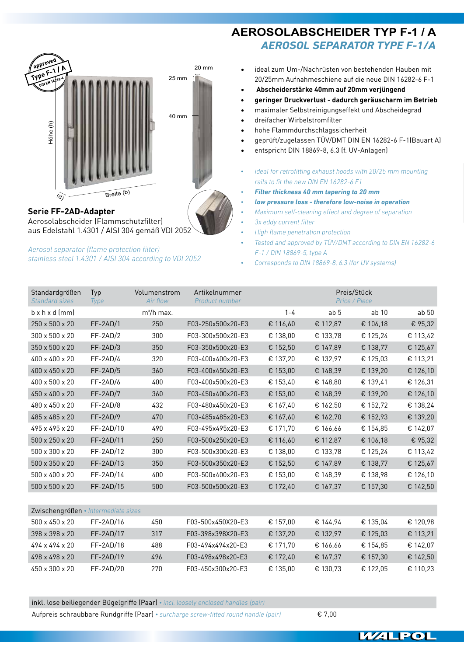

**Serie FF-2AD-Adapter** Aerosolabscheider (Flammschutzfilter) aus Edelstahl 1.4301 / AISI 304 gemäß VDI 2052

*Aerosol separator (flame protection filter) stainless steel 1.4301 / AISI 304 according to VDI 2052*

# **AEROSOLABSCHEIDER TYP F-1 / A** *Aerosol separator type F-1/A*

- ideal zum Um-/Nachrüsten von bestehenden Hauben mit 20/25mm Aufnahmeschiene auf die neue DIN 16282-6 F-1
- • **Abscheiderstärke 40mm auf 20mm verjüngend**
- **• geringer Druckverlust dadurch geräuscharm im Betrieb**
- • maximaler Selbstreinigungseffekt und Abscheidegrad
- dreifacher Wirbelstromfilter
- hohe Flammdurchschlagssicherheit
- geprüft/zugelassen TÜV/DMT DIN EN 16282-6 F-1(Bauart A)
- entspricht DIN 18869-8, 6.3 (f. UV-Anlagen)
- *• Ideal for retrofitting exhaust hoods with 20/25 mm mounting rails to fit the new DIN EN 16282-6 F1*
- *• Filter thickness 40 mm tapering to 20 mm*
- *• low pressure loss therefore low-noise in operation*
- *• Maximum self-cleaning effect and degree of separation*
- *• 3x eddy current filter*
- *• High flame penetration protection*
- *• Tested and approved by TÜV/DMT according to DIN EN 16282-6 F-1 / DIN 18869-5, type A*
- *• Corresponds to DIN 18869-8, 6.3 (for UV systems)*

| Standardgrößen<br><b>Standard sizes</b> | Typ<br>Type | Volumenstrom<br>Air flow | Artikelnummer<br>Product number |          | Preis/Stück<br>Price / Piece |                  |          |  |
|-----------------------------------------|-------------|--------------------------|---------------------------------|----------|------------------------------|------------------|----------|--|
| $b \times h \times d$ (mm)              |             | $m^3/h$ max.             |                                 | $1 - 4$  | ab <sub>5</sub>              | ab <sub>10</sub> | ab 50    |  |
| 250 x 500 x 20                          | $FF-2AD/1$  | 250                      | F03-250x500x20-E3               | € 116,60 | € 112,87                     | € 106,18         | € 95,32  |  |
| 300 x 500 x 20                          | $FF-2AD/2$  | 300                      | F03-300x500x20-E3               | € 138,00 | € 133,78                     | € 125,24         | € 113,42 |  |
| 350 x 500 x 20                          | $FF-2AD/3$  | 350                      | F03-350x500x20-E3               | € 152,50 | € 147,89                     | € 138,77         | € 125,67 |  |
| 400 x 400 x 20                          | FF-2AD/4    | 320                      | F03-400x400x20-E3               | € 137,20 | € 132,97                     | € 125,03         | € 113,21 |  |
| 400 x 450 x 20                          | FF-2AD/5    | 360                      | F03-400x450x20-E3               | € 153,00 | € 148,39                     | € 139,20         | € 126,10 |  |
| 400 x 500 x 20                          | $FF-2AD/6$  | 400                      | F03-400x500x20-E3               | € 153,40 | € 148,80                     | € 139,41         | € 126,31 |  |
| 450 x 400 x 20                          | FF-2AD/7    | 360                      | F03-450x400x20-E3               | € 153,00 | € 148,39                     | € 139,20         | € 126,10 |  |
| 480 x 450 x 20                          | FF-2AD/8    | 432                      | F03-480x450x20-E3               | € 167,40 | € 162,50                     | € 152,72         | € 138,24 |  |
| 485 x 485 x 20                          | $FF-2AD/9$  | 470                      | F03-485x485x20-E3               | € 167,60 | € 162,70                     | € 152,93         | € 139,20 |  |
| 495 x 495 x 20                          | FF-2AD/10   | 490                      | F03-495x495x20-E3               | € 171,70 | € 166,66                     | € 154,85         | € 142,07 |  |
| 500 x 250 x 20                          | FF-2AD/11   | 250                      | F03-500x250x20-E3               | € 116,60 | € 112,87                     | € 106,18         | € 95,32  |  |
| 500 x 300 x 20                          | FF-2AD/12   | 300                      | F03-500x300x20-E3               | € 138,00 | € 133,78                     | € 125,24         | € 113,42 |  |
| 500 x 350 x 20                          | FF-2AD/13   | 350                      | F03-500x350x20-E3               | € 152,50 | € 147,89                     | € 138,77         | € 125,67 |  |
| 500 x 400 x 20                          | FF-2AD/14   | 400                      | F03-500x400x20-E3               | € 153,00 | € 148,39                     | € 138,98         | € 126,10 |  |
| 500 x 500 x 20                          | FF-2AD/15   | 500                      | F03-500x500x20-E3               | € 172,40 | € 167,37                     | € 157,30         | € 142,50 |  |
|                                         |             |                          |                                 |          |                              |                  |          |  |
| Zwischengrößen • Intermediate sizes     |             |                          |                                 |          |                              |                  |          |  |
| 500 x 450 x 20                          | FF-2AD/16   | 450                      | F03-500x450X20-E3               | € 157,00 | € 144,94                     | € 135,04         | € 120,98 |  |
| 398 x 398 x 20                          | FF-2AD/17   | 317                      | F03-398x398X20-E3               | € 137,20 | € 132,97                     | € 125,03         | € 113,21 |  |
| 494 x 494 x 20                          | FF-2AD/18   | 488                      | F03-494x494x20-E3               | € 171,70 | € 166,66                     | € 154,85         | € 142,07 |  |
| 498 x 498 x 20                          | FF-2AD/19   | 496                      | F03-498x498x20-E3               | € 172,40 | € 167,37                     | € 157,30         | € 142,50 |  |
| 450 x 300 x 20                          | FF-2AD/20   | 270                      | F03-450x300x20-E3               | € 135,00 | € 130,73                     | € 122,05         | € 110,23 |  |

inkl. lose beiliegender Bügelgriffe (Paar) *• incl. loosely enclosed handles (pair)*

Aufpreis schraubbare Rundgriffe (Paar) *• surcharge screw-fitted round handle (pair)* € 7,00

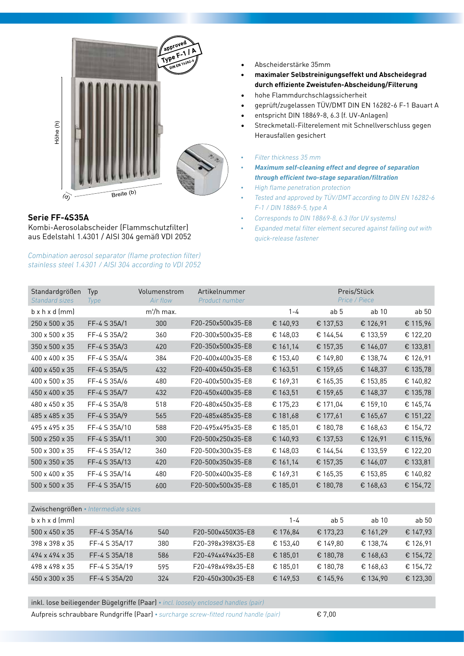

## **Serie FF-4S35A**

Kombi-Aerosolabscheider (Flammschutzfilter) aus Edelstahl 1.4301 / AISI 304 gemäß VDI 2052

*Combination aerosol separator (flame protection filter) stainless steel 1.4301 / AISI 304 according to VDI 2052*

- • Abscheiderstärke 35mm
- **• maximaler Selbstreinigungseffekt und Abscheidegrad durch effiziente Zweistufen-Abscheidung/Filterung**
- hohe Flammdurchschlagssicherheit
- • geprüft/zugelassen TÜV/DMT DIN EN 16282-6 F-1 Bauart A **approved**
- entspricht DIN 18869-8, 6.3 (f. UV-Anlagen)
- Streckmetall-Filterelement mit Schnellverschluss gegen Herausfallen gesichert

#### *• Filter thickness 35 mm*

- *• Maximum self-cleaning effect and degree of separation through efficient two-stage separation/filtration*
- *• High flame penetration protection*
- *• Tested and approved by TÜV/DMT according to DIN EN 16282-6 F-1 / DIN 18869-5, type A*
- *• Corresponds to DIN 18869-8, 6.3 (for UV systems)*
- *• Expanded metal filter element secured against falling out with quick-release fastener*

| Standardgrößen<br>Standard sizes | Typ<br>Type   | Volumenstrom<br>Air flow | Artikelnummer<br>Product number |          |                 | Preis/Stück<br>Price / Piece |          |
|----------------------------------|---------------|--------------------------|---------------------------------|----------|-----------------|------------------------------|----------|
| $b \times h \times d$ (mm)       |               | $m^3/h$ max.             |                                 | $1 - 4$  | ab <sub>5</sub> | ab 10                        | ab 50    |
| 250 x 500 x 35                   | FF-4 S 35A/1  | 300                      | F20-250x500x35-E8               | € 140,93 | € 137,53        | € 126,91                     | € 115,96 |
| 300 x 500 x 35                   | FF-4 S 35A/2  | 360                      | F20-300x500x35-E8               | € 148,03 | € 144,54        | € 133,59                     | € 122,20 |
| 350 x 500 x 35                   | FF-4 S 35A/3  | 420                      | F20-350x500x35-E8               | € 161,14 | € 157,35        | € 146,07                     | € 133,81 |
| 400 x 400 x 35                   | FF-4 S 35A/4  | 384                      | F20-400x400x35-E8               | € 153,40 | € 149,80        | € 138,74                     | € 126,91 |
| 400 x 450 x 35                   | FF-4 S 35A/5  | 432                      | F20-400x450x35-E8               | € 163,51 | € 159,65        | € 148,37                     | € 135,78 |
| 400 x 500 x 35                   | FF-4 S 35A/6  | 480                      | F20-400x500x35-E8               | € 169,31 | € 165,35        | € 153,85                     | € 140,82 |
| 450 x 400 x 35                   | FF-4 S 35A/7  | 432                      | F20-450x400x35-E8               | € 163,51 | € 159,65        | € 148,37                     | € 135,78 |
| 480 x 450 x 35                   | FF-4 S 35A/8  | 518                      | F20-480x450x35-E8               | € 175,23 | € 171,04        | € 159,10                     | € 145,74 |
| 485 x 485 x 35                   | FF-4 S 35A/9  | 565                      | F20-485x485x35-E8               | € 181,68 | € 177,61        | € 165,67                     | € 151,22 |
| 495 x 495 x 35                   | FF-4 S 35A/10 | 588                      | F20-495x495x35-E8               | € 185,01 | € 180,78        | € 168,63                     | € 154,72 |
| 500 x 250 x 35                   | FF-4 S 35A/11 | 300                      | F20-500x250x35-E8               | € 140,93 | € 137,53        | € 126,91                     | € 115,96 |
| 500 x 300 x 35                   | FF-4 S 35A/12 | 360                      | F20-500x300x35-E8               | € 148,03 | € 144,54        | € 133,59                     | € 122,20 |
| 500 x 350 x 35                   | FF-4 S 35A/13 | 420                      | F20-500x350x35-E8               | € 161,14 | € 157,35        | € 146,07                     | € 133,81 |
| 500 x 400 x 35                   | FF-4 S 35A/14 | 480                      | F20-500x400x35-E8               | € 169,31 | € 165,35        | € 153,85                     | € 140,82 |
| 500 x 500 x 35                   | FF-4 S 35A/15 | 600                      | F20-500x500x35-E8               | € 185,01 | € 180,78        | € 168,63                     | € 154,72 |
|                                  |               |                          |                                 |          |                 |                              |          |

| Zwischengrößen • Intermediate sizes |               |     |                   |          |          |          |          |
|-------------------------------------|---------------|-----|-------------------|----------|----------|----------|----------|
| $b \times h \times d$ (mm)          |               |     |                   | 1-4      | ab 5     | ab 10    | ab 50    |
| $500 \times 450 \times 35$          | FF-4 S 35A/16 | 540 | F20-500x450X35-E8 | € 176,84 | € 173,23 | € 161.29 | € 147,93 |
| 398 x 398 x 35                      | FF-4 S 35A/17 | 380 | F20-398x398X35-E8 | € 153.40 | € 149.80 | € 138.74 | € 126,91 |
| 494 x 494 x 35                      | FF-4 S 35A/18 | 586 | F20-494x494x35-E8 | € 185,01 | € 180,78 | € 168,63 | € 154,72 |
| 498 x 498 x 35                      | FF-4 S 35A/19 | 595 | F20-498x498x35-E8 | € 185.01 | € 180.78 | € 168.63 | € 154,72 |
| 450 x 300 x 35                      | FF-4 S 35A/20 | 324 | F20-450x300x35-E8 | € 149.53 | € 145,96 | € 134,90 | € 123,30 |

inkl. lose beiliegender Bügelgriffe (Paar) *• incl. loosely enclosed handles (pair)*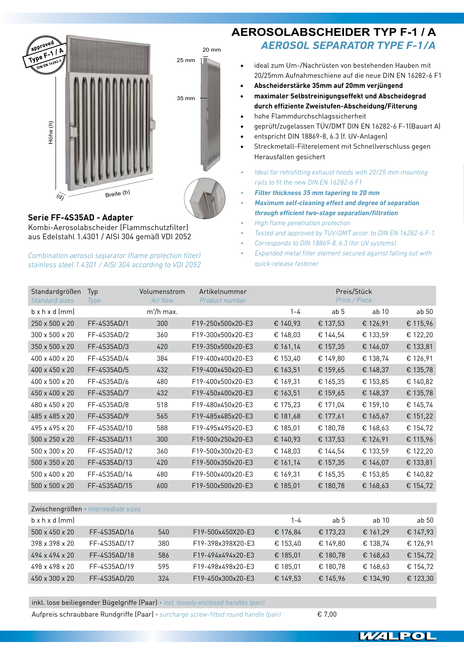

# 20 mm 35 mm 25 mm

#### **Serie FF-4S35AD - Adapter** Kombi-Aerosolabscheider (Flammschutzfilter) aus Edelstahl 1.4301 / AISI 304 gemäß VDI 2052

*Combination aerosol separator (flame protection filter) stainless steel 1.4301 / AISI 304 according to VDI 2052*

# **AEROSOLABSCHEIDER TYP F-1 / A** *Aerosol separator type F-1/A*

- ideal zum Um-/Nachrüsten von bestehenden Hauben mit 20/25mm Aufnahmeschiene auf die neue DIN EN 16282-6 F1
- **• Abscheiderstärke 35mm auf 20mm verjüngend**
- **• maximaler Selbstreinigungseffekt und Abscheidegrad durch effiziente Zweistufen-Abscheidung/Filterung**
- hohe Flammdurchschlagssicherheit
- geprüft/zugelassen TÜV/DMT DIN EN 16282-6 F-1(Bauart A)
- entspricht DIN 18869-8, 6.3 (f. UV-Anlagen)
- Streckmetall-Filterelement mit Schnellverschluss gegen Herausfallen gesichert
- *• Ideal for retrofitting exhaust hoods with 20/25 mm mounting rails to fit the new DIN EN 16282-6 F1*
- *• Filter thickness 35 mm tapering to 20 mm*
- *• Maximum self-cleaning effect and degree of separation through efficient two-stage separation/filtration*
- *• High flame penetration protection*
- *• Tested and approved by TÜV/DMT accor. to DIN EN 16282-6 F-1*
- *• Corresponds to DIN 18869-8, 6.3 (for UV systems)*
- *• Expanded metal filter element secured against falling out with quick-release fastener*

| Standardgrößen<br><b>Standard sizes</b> | Typ<br><b>Type</b> | Volumenstrom<br>Air flow | Artikelnummer<br>Product number | Preis/Stück<br>Price / Piece |                 |          |                  |
|-----------------------------------------|--------------------|--------------------------|---------------------------------|------------------------------|-----------------|----------|------------------|
| $b \times h \times d$ (mm)              |                    | $m^3/h$ max.             |                                 | $1 - 4$                      | ab <sub>5</sub> | ab 10    | ab <sub>50</sub> |
| 250 x 500 x 20                          | FF-4S35AD/1        | 300                      | F19-250x500x20-E3               | € 140,93                     | € 137,53        | € 126,91 | € 115,96         |
| 300 x 500 x 20                          | FF-4S35AD/2        | 360                      | F19-300x500x20-E3               | € 148,03                     | € 144,54        | € 133,59 | € 122,20         |
| 350 x 500 x 20                          | FF-4S35AD/3        | 420                      | F19-350x500x20-E3               | € 161,14                     | € 157,35        | € 146,07 | € 133,81         |
| 400 x 400 x 20                          | FF-4S35AD/4        | 384                      | F19-400x400x20-E3               | € 153,40                     | € 149,80        | € 138,74 | € 126,91         |
| 400 x 450 x 20                          | FF-4S35AD/5        | 432                      | F19-400x450x20-E3               | € 163,51                     | € 159,65        | € 148,37 | € 135,78         |
| 400 x 500 x 20                          | FF-4S35AD/6        | 480                      | F19-400x500x20-E3               | € 169,31                     | € 165,35        | € 153,85 | € 140,82         |
| 450 x 400 x 20                          | FF-4S35AD/7        | 432                      | F19-450x400x20-E3               | € 163,51                     | € 159,65        | € 148,37 | € 135,78         |
| 480 x 450 x 20                          | FF-4S35AD/8        | 518                      | F19-480x450x20-E3               | € 175,23                     | € 171,04        | € 159,10 | € 145,74         |
| 485 x 485 x 20                          | FF-4S35AD/9        | 565                      | F19-485x485x20-E3               | € 181,68                     | € 177,61        | € 165,67 | € 151,22         |
| 495 x 495 x 20                          | FF-4S35AD/10       | 588                      | F19-495x495x20-E3               | € 185,01                     | € 180,78        | € 168,63 | € 154,72         |
| 500 x 250 x 20                          | FF-4S35AD/11       | 300                      | F19-500x250x20-E3               | € 140,93                     | € 137,53        | € 126,91 | € 115,96         |
| 500 x 300 x 20                          | FF-4S35AD/12       | 360                      | F19-500x300x20-E3               | € 148,03                     | € 144,54        | € 133,59 | € 122,20         |
| 500 x 350 x 20                          | FF-4S35AD/13       | 420                      | F19-500x350x20-E3               | € 161,14                     | € 157,35        | € 146,07 | € 133,81         |
| 500 x 400 x 20                          | FF-4S35AD/14       | 480                      | F19-500x400x20-E3               | € 169,31                     | € 165,35        | € 153,85 | € 140,82         |
| 500 x 500 x 20                          | FF-4S35AD/15       | 600                      | F19-500x500x20-E3               | € 185,01                     | € 180,78        | € 168,63 | € 154,72         |

| Zwischengrößen • Intermediate sizes |              |     |                   |          |                 |                  |          |  |
|-------------------------------------|--------------|-----|-------------------|----------|-----------------|------------------|----------|--|
| $b \times h \times d$ (mm)          |              |     |                   | 1-4      | ab <sub>5</sub> | ab <sub>10</sub> | ab 50    |  |
| $500 \times 450 \times 20$          | FF-4S35AD/16 | 540 | F19-500x450X20-E3 | € 176.84 | € 173.23        | € 161.29         | € 147,93 |  |
| 398 x 398 x 20                      | FF-4S35AD/17 | 380 | F19-398x398X20-E3 | € 153.40 | € 149.80        | € 138.74         | € 126,91 |  |
| $494 \times 494 \times 20$          | FF-4S35AD/18 | 586 | F19-494x494x20-E3 | € 185.01 | € 180.78        | € 168,63         | € 154,72 |  |
| 498 x 498 x 20                      | FF-4S35AD/19 | 595 | F19-498x498x20-E3 | € 185.01 | € 180.78        | € 168,63         | € 154,72 |  |
| 450 x 300 x 20                      | FF-4S35AD/20 | 324 | F19-450x300x20-E3 | € 149.53 | € 145.96        | € 134.90         | € 123,30 |  |

inkl. lose beiliegender Bügelgriffe (Paar) *• incl. loosely enclosed handles (pair)*

Aufpreis schraubbare Rundgriffe (Paar) *• surcharge screw-fitted round handle (pair)* € 7,00

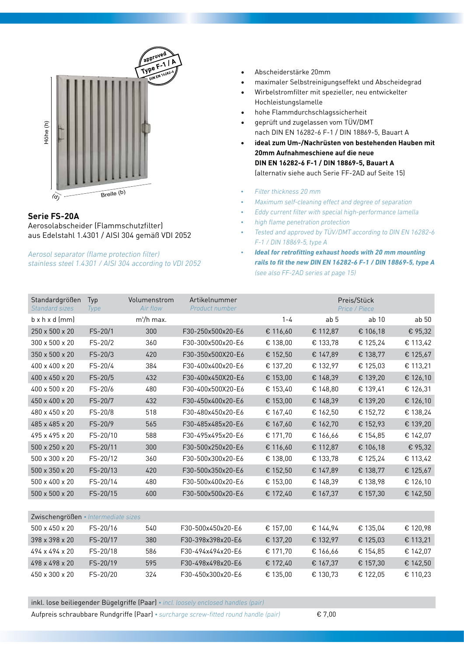

## **Serie FS-20A**

Aerosolabscheider (Flammschutzfilter) aus Edelstahl 1.4301 / AISI 304 gemäß VDI 2052

*Aerosol separator (flame protection filter) stainless steel 1.4301 / AISI 304 according to VDI 2052*

- **DIN EN 16282-6** • Abscheiderstärke 20mm
- maximaler Selbstreinigungseffekt und Abscheidegrad
- • Wirbelstromfilter mit spezieller, neu entwickelter Hochleistungslamelle
- • hohe Flammdurchschlagssicherheit
- geprüft und zugelassen vom TÜV/DMT nach DIN EN 16282-6 F-1 / DIN 18869-5, Bauart A
- **• ideal zum Um-/Nachrüsten von bestehenden Hauben mit 20mm Aufnahmeschiene auf die neue DIN EN 16282-6 F-1 / DIN 18869-5, Bauart A**  (alternativ siehe auch Serie FF-2AD auf Seite 15)
- *• Filter thickness 20 mm*
- *• Maximum self-cleaning effect and degree of separation*
- *• Eddy current filter with special high-performance lamella*
- *• high flame penetration protection*
- *• Tested and approved by TÜV/DMT according to DIN EN 16282-6 F-1 / DIN 18869-5, type A*
- *• Ideal for retrofitting exhaust hoods with 20 mm mounting rails to fit the new DIN EN 16282-6 F-1 / DIN 18869-5, type A (see also FF-2AD series at page 15)*

| Standardgrößen<br><b>Standard sizes</b> | Typ<br><b>Type</b> | Volumenstrom<br>Air flow | Artikelnummer<br>Product number |          |                 | Preis/Stück<br>Price / Piece |                  |
|-----------------------------------------|--------------------|--------------------------|---------------------------------|----------|-----------------|------------------------------|------------------|
| $b \times h \times d$ (mm)              |                    | $m^3/h$ max.             |                                 | $1 - 4$  | ab <sub>5</sub> | ab <sub>10</sub>             | ab <sub>50</sub> |
| 250 x 500 x 20                          | $FS-20/1$          | 300                      | F30-250x500x20-E6               | € 116,60 | € 112,87        | € 106,18                     | € 95,32          |
| 300 x 500 x 20                          | FS-20/2            | 360                      | F30-300x500x20-E6               | € 138,00 | € 133,78        | € 125,24                     | € 113,42         |
| 350 x 500 x 20                          | FS-20/3            | 420                      | F30-350x500X20-E6               | € 152,50 | € 147,89        | € 138,77                     | € 125,67         |
| 400 x 400 x 20                          | FS-20/4            | 384                      | F30-400x400x20-E6               | € 137,20 | € 132,97        | € 125,03                     | € 113,21         |
| 400 x 450 x 20                          | FS-20/5            | 432                      | F30-400x450X20-E6               | € 153,00 | € 148,39        | € 139,20                     | € 126,10         |
| 400 x 500 x 20                          | $FS-20/6$          | 480                      | F30-400x500X20-E6               | € 153,40 | € 148,80        | € 139,41                     | € 126,31         |
| 450 x 400 x 20                          | FS-20/7            | 432                      | F30-450x400x20-E6               | € 153,00 | € 148,39        | € 139,20                     | € 126,10         |
| 480 x 450 x 20                          | $FS-20/8$          | 518                      | F30-480x450x20-E6               | € 167,40 | € 162,50        | € 152,72                     | € 138,24         |
| 485 x 485 x 20                          | FS-20/9            | 565                      | F30-485x485x20-E6               | € 167,60 | € 162,70        | € 152,93                     | € 139,20         |
| 495 x 495 x 20                          | FS-20/10           | 588                      | F30-495x495x20-E6               | € 171,70 | € 166,66        | € 154,85                     | € 142,07         |
| 500 x 250 x 20                          | FS-20/11           | 300                      | F30-500x250x20-E6               | € 116,60 | € 112,87        | € 106,18                     | € 95,32          |
| 500 x 300 x 20                          | FS-20/12           | 360                      | F30-500x300x20-E6               | € 138,00 | € 133,78        | € 125,24                     | € 113,42         |
| 500 x 350 x 20                          | FS-20/13           | 420                      | F30-500x350x20-E6               | € 152,50 | € 147,89        | € 138,77                     | € 125,67         |
| 500 x 400 x 20                          | FS-20/14           | 480                      | F30-500x400x20-E6               | € 153,00 | € 148,39        | € 138,98                     | € 126,10         |
| 500 x 500 x 20                          | FS-20/15           | 600                      | F30-500x500x20-E6               | € 172,40 | € 167,37        | € 157,30                     | € 142,50         |
|                                         |                    |                          |                                 |          |                 |                              |                  |
| Zwischengrößen • Intermediate sizes     |                    |                          |                                 |          |                 |                              |                  |
| 500 x 450 x 20                          | FS-20/16           | 540                      | F30-500x450x20-E6               | € 157,00 | € 144,94        | € 135,04                     | € 120,98         |
| 398 x 398 x 20                          | FS-20/17           | 380                      | F30-398x398x20-E6               | € 137,20 | € 132,97        | € 125,03                     | € 113,21         |
| 494 x 494 x 20                          | FS-20/18           | 586                      | F30-494x494x20-E6               | € 171,70 | € 166,66        | € 154,85                     | € 142,07         |
| 498 x 498 x 20                          | FS-20/19           | 595                      | F30-498x498x20-E6               | € 172,40 | € 167,37        | € 157,30                     | € 142,50         |
| 450 x 300 x 20                          | FS-20/20           | 324                      | F30-450x300x20-E6               | € 135,00 | € 130,73        | € 122,05                     | € 110,23         |

inkl. lose beiliegender Bügelgriffe (Paar) *• incl. loosely enclosed handles (pair)*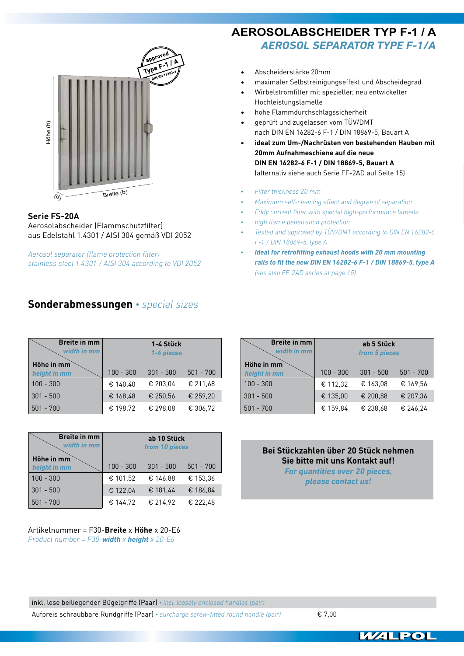

### **Serie FS-20A**

Aerosolabscheider (Flammschutzfilter) aus Edelstahl 1.4301 / AISI 304 gemäß VDI 2052

*Aerosol separator (flame protection filter) stainless steel 1.4301 / AISI 304 according to VDI 2052*

# **Sonderabmessungen** *• special sizes*

| <b>Breite in mm</b><br>width in mm | 1-4 Stück<br>1-4 pieces |             |             |  |  |
|------------------------------------|-------------------------|-------------|-------------|--|--|
| Höhe in mm<br>height in mm         | $100 - 300$             | $301 - 500$ | $501 - 700$ |  |  |
| $100 - 300$                        | € 140,40                | € 203.04    | € 211.68    |  |  |
| $301 - 500$                        | € 168,48                | € 250,56    | € 259,20    |  |  |
| $501 - 700$                        | € 198,72                | € 298.08    | € 306,72    |  |  |

| <b>Breite in mm</b><br>width in mm | ab 10 Stück<br>from 10 pieces |             |             |  |  |
|------------------------------------|-------------------------------|-------------|-------------|--|--|
| Höhe in mm<br>height in mm         | $100 - 300$                   | $301 - 500$ | $501 - 700$ |  |  |
| $100 - 300$                        | € 101.52                      | € 146,88    | € 153.36    |  |  |
| $301 - 500$                        | € 122,04                      | € 181,44    | € 186,84    |  |  |
| $501 - 700$                        | € 144.72                      | € 214,92    | € 222,48    |  |  |

Artikelnummer = F30-**Breite** x **Höhe** x 20-E6 *Product number = F30-width x height x 20-E6*

# **AEROSOLABSCHEIDER TYP F-1 / A** *Aerosol separator type F-1/A*

- **DIN EN 16282-6** • Abscheiderstärke 20mm
- maximaler Selbstreinigungseffekt und Abscheidegrad
- • Wirbelstromfilter mit spezieller, neu entwickelter Hochleistungslamelle
- hohe Flammdurchschlagssicherheit
- geprüft und zugelassen vom TÜV/DMT nach DIN EN 16282-6 F-1 / DIN 18869-5, Bauart A
- **• ideal zum Um-/Nachrüsten von bestehenden Hauben mit 20mm Aufnahmeschiene auf die neue DIN EN 16282-6 F-1 / DIN 18869-5, Bauart A**  (alternativ siehe auch Serie FF-2AD auf Seite 15)
- *• Filter thickness 20 mm*
- *• Maximum self-cleaning effect and degree of separation*
- *• Eddy current filter with special high-performance lamella*
- *• high flame penetration protection*
- *• Tested and approved by TÜV/DMT according to DIN EN 16282-6 F-1 / DIN 18869-5, type A*
- *• Ideal for retrofitting exhaust hoods with 20 mm mounting rails to fit the new DIN EN 16282-6 F-1 / DIN 18869-5, type A (see also FF-2AD series at page 15)*

| <b>Breite in mm</b><br>width in mm | ab 5 Stück<br>from 5 pieces |             |             |  |  |  |
|------------------------------------|-----------------------------|-------------|-------------|--|--|--|
| Höhe in mm<br>height in mm         | $100 - 300$                 | $301 - 500$ | $501 - 700$ |  |  |  |
| $100 - 300$                        | € 112,32                    | € 163,08    | € 169.56    |  |  |  |
| $301 - 500$                        | € 135,00                    | € 200,88    | € 207,36    |  |  |  |
| $501 - 700$                        | € 159.84                    | € 238.68    | € 246,24    |  |  |  |

**Bei Stückzahlen über 20 Stück nehmen Sie bitte mit uns Kontakt auf!** *For quantities over 20 pieces, please contact us!*

inkl. lose beiliegender Bügelgriffe (Paar) *• incl. loosely enclosed handles (pair)* Aufpreis schraubbare Rundgriffe (Paar) *• surcharge screw-fitted round handle (pair)* € 7,00

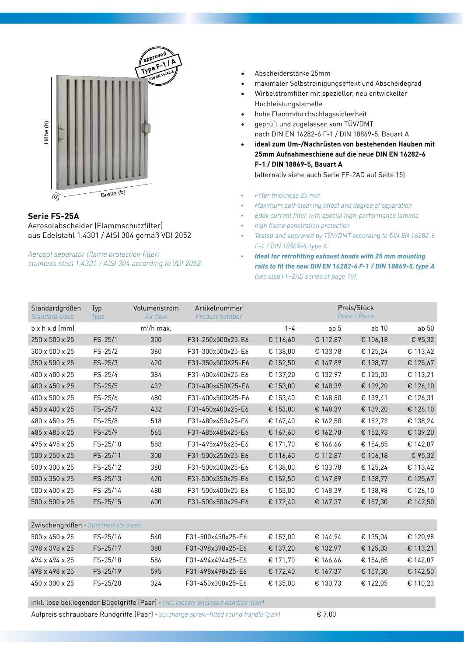

#### **Serie FS-25A** Aerosolabscheider (Flammschutzfilter) aus Edelstahl 1.4301 / AISI 304 gemäß VDI 2052

*Aerosol separator (flame protection filter) stainless steel 1.4301 / AISI 304 according to VDI 2052*

- **DIN EN 16282-6** • Abscheiderstärke 25mm
- maximaler Selbstreinigungseffekt und Abscheidegrad
- • Wirbelstromfilter mit spezieller, neu entwickelter Hochleistungslamelle
- hohe Flammdurchschlagssicherheit
- geprüft und zugelassen vom TÜV/DMT nach DIN EN 16282-6 F-1 / DIN 18869-5, Bauart A
- **• ideal zum Um-/Nachrüsten von bestehenden Hauben mit 25mm Aufnahmeschiene auf die neue DIN EN 16282-6 F-1 / DIN 18869-5, Bauart A**  (alternativ siehe auch Serie FF-2AD auf Seite 15)
- *• Filter thickness 25 mm*
- *• Maximum self-cleaning effect and degree of separation*
- *• Eddy current filter with special high-performance lamella*
- *• high flame penetration protection*
- *• Tested and approved by TÜV/DMT according to DIN EN 16282-6 F-1 / DIN 18869-5, type A*
- *• Ideal for retrofitting exhaust hoods with 25 mm mounting rails to fit the new DIN EN 16282-6 F-1 / DIN 18869-5, type A (see also FF-2AD series at page 15)*

| Standardgrößen<br><b>Standard sizes</b> | Typ<br>Type | Volumenstrom<br>Air flow | Artikelnummer<br>Product number |          | Preis/Stück<br>Price / Piece |          |          |  |
|-----------------------------------------|-------------|--------------------------|---------------------------------|----------|------------------------------|----------|----------|--|
| $b \times h \times d$ (mm)              |             | $m^3/h$ max.             |                                 | $1 - 4$  | ab <sub>5</sub>              | ab 10    | ab 50    |  |
| 250 x 500 x 25                          | $FS-25/1$   | 300                      | F31-250x500x25-E6               | € 116,60 | € 112,87                     | € 106,18 | € 95,32  |  |
| 300 x 500 x 25                          | $FS-25/2$   | 360                      | F31-300x500x25-E6               | € 138,00 | € 133,78                     | € 125,24 | € 113,42 |  |
| 350 x 500 x 25                          | $FS-25/3$   | 420                      | F31-350x500X25-E6               | € 152,50 | € 147,89                     | € 138,77 | € 125,67 |  |
| 400 x 400 x 25                          | $FS-25/4$   | 384                      | F31-400x400x25-E6               | € 137,20 | € 132,97                     | € 125,03 | € 113,21 |  |
| 400 x 450 x 25                          | $FS-25/5$   | 432                      | F31-400x450X25-E6               | € 153,00 | € 148,39                     | € 139,20 | € 126,10 |  |
| 400 x 500 x 25                          | $FS-25/6$   | 480                      | F31-400x500X25-E6               | € 153,40 | € 148,80                     | € 139,41 | € 126,31 |  |
| 450 x 400 x 25                          | FS-25/7     | 432                      | F31-450x400x25-E6               | € 153,00 | € 148,39                     | € 139,20 | € 126,10 |  |
| 480 x 450 x 25                          | FS-25/8     | 518                      | F31-480x450x25-E6               | € 167,40 | € 162,50                     | € 152,72 | € 138,24 |  |
| 485 x 485 x 25                          | FS-25/9     | 565                      | F31-485x485x25-E6               | € 167,60 | € 162,70                     | € 152,93 | € 139,20 |  |
| 495 x 495 x 25                          | FS-25/10    | 588                      | F31-495x495x25-E6               | € 171,70 | € 166,66                     | € 154,85 | € 142,07 |  |
| 500 x 250 x 25                          | FS-25/11    | 300                      | F31-500x250x25-E6               | € 116,60 | € 112,87                     | € 106,18 | € 95,32  |  |
| 500 x 300 x 25                          | FS-25/12    | 360                      | F31-500x300x25-E6               | € 138,00 | € 133,78                     | € 125,24 | € 113,42 |  |
| 500 x 350 x 25                          | FS-25/13    | 420                      | F31-500x350x25-E6               | € 152,50 | € 147,89                     | € 138,77 | € 125,67 |  |
| 500 x 400 x 25                          | FS-25/14    | 480                      | F31-500x400x25-E6               | € 153,00 | € 148,39                     | € 138,98 | € 126,10 |  |
| 500 x 500 x 25                          | FS-25/15    | 600                      | F31-500x500x25-E6               | € 172,40 | € 167,37                     | € 157,30 | € 142,50 |  |
|                                         |             |                          |                                 |          |                              |          |          |  |
| Zwischengrößen • Intermediate sizes     |             |                          |                                 |          |                              |          |          |  |
| 500 x 450 x 25                          | FS-25/16    | 540                      | F31-500x450x25-E6               | € 157,00 | € 144,94                     | € 135,04 | € 120,98 |  |
| 398 x 398 x 25                          | FS-25/17    | 380                      | F31-398x398x25-E6               | € 137,20 | € 132,97                     | € 125,03 | € 113,21 |  |
| 494 x 494 x 25                          | FS-25/18    | 586                      | F31-494x494x25-E6               | € 171,70 | € 166,66                     | € 154,85 | € 142,07 |  |
| 498 x 498 x 25                          | FS-25/19    | 595                      | F31-498x498x25-E6               | € 172,40 | € 167,37                     | € 157,30 | € 142,50 |  |
| 450 x 300 x 25                          | FS-25/20    | 324                      | F31-450x300x25-E6               | € 135,00 | € 130,73                     | € 122,05 | € 110,23 |  |

inkl. lose beiliegender Bügelgriffe (Paar) *• incl. loosely enclosed handles (pair)*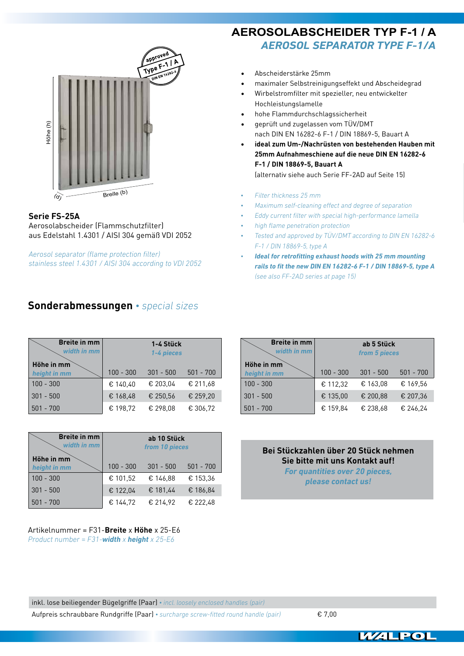

#### **Serie FS-25A** Aerosolabscheider (Flammschutzfilter)

aus Edelstahl 1.4301 / AISI 304 gemäß VDI 2052

*Aerosol separator (flame protection filter) stainless steel 1.4301 / AISI 304 according to VDI 2052*

# **Sonderabmessungen** *• special sizes*

| <b>Breite in mm</b><br>width in mm | 1-4 Stück<br>1-4 pieces |             |             |  |
|------------------------------------|-------------------------|-------------|-------------|--|
| Höhe in mm<br>height in mm         | $100 - 300$             | $301 - 500$ | $501 - 700$ |  |
| $100 - 300$                        | € 140.40                | € 203.04    | € 211.68    |  |
| $301 - 500$                        | € 168,48                | € 250.56    | € 259,20    |  |
| $501 - 700$                        | € 198,72                | € 298,08    | € 306,72    |  |

| <b>Breite in mm</b><br>width in mm | ab 10 Stück<br>from 10 pieces |             |             |  |  |
|------------------------------------|-------------------------------|-------------|-------------|--|--|
| Höhe in mm<br>height in mm         | $100 - 300$                   | $301 - 500$ | $501 - 700$ |  |  |
| $100 - 300$                        | € 101.52                      | € 146,88    | € 153.36    |  |  |
| $301 - 500$                        | € 122.04                      | € 181,44    | € 186,84    |  |  |
| $501 - 700$                        | € 144,72                      | € 214,92    | € 222.48    |  |  |

Artikelnummer = F31-**Breite** x **Höhe** x 25-E6 *Product number = F31-width x height x 25-E6*

# **AEROSOLABSCHEIDER TYP F-1 / A** *Aerosol separator type F-1/A*

- Abscheiderstärke 25mm
- maximaler Selbstreinigungseffekt und Abscheidegrad
- Wirbelstromfilter mit spezieller, neu entwickelter Hochleistungslamelle
- hohe Flammdurchschlagssicherheit
- geprüft und zugelassen vom TÜV/DMT nach DIN EN 16282-6 F-1 / DIN 18869-5, Bauart A
- **• ideal zum Um-/Nachrüsten von bestehenden Hauben mit 25mm Aufnahmeschiene auf die neue DIN EN 16282-6 F-1 / DIN 18869-5, Bauart A**  (alternativ siehe auch Serie FF-2AD auf Seite 15)
- *• Filter thickness 25 mm*
- *• Maximum self-cleaning effect and degree of separation*
- *• Eddy current filter with special high-performance lamella*
- *• high flame penetration protection*
- *• Tested and approved by TÜV/DMT according to DIN EN 16282-6 F-1 / DIN 18869-5, type A*
- *• Ideal for retrofitting exhaust hoods with 25 mm mounting rails to fit the new DIN EN 16282-6 F-1 / DIN 18869-5, type A (see also FF-2AD series at page 15)*

| <b>Breite in mm</b><br>width in mm | ab 5 Stück<br>from 5 pieces               |          |          |  |  |
|------------------------------------|-------------------------------------------|----------|----------|--|--|
| Höhe in mm<br>height in mm         | $100 - 300$<br>$501 - 700$<br>$301 - 500$ |          |          |  |  |
| $100 - 300$                        | € 112,32                                  | € 163.08 | € 169.56 |  |  |
| $301 - 500$                        | € 135.00                                  | € 200.88 | € 207,36 |  |  |
| $501 - 700$                        | € 159,84                                  | € 238.68 | € 246,24 |  |  |

**Bei Stückzahlen über 20 Stück nehmen Sie bitte mit uns Kontakt auf!** *For quantities over 20 pieces, please contact us!*

inkl. lose beiliegender Bügelgriffe (Paar) *• incl. loosely enclosed handles (pair)* Aufpreis schraubbare Rundgriffe (Paar) *• surcharge screw-fitted round handle (pair)* € 7,00

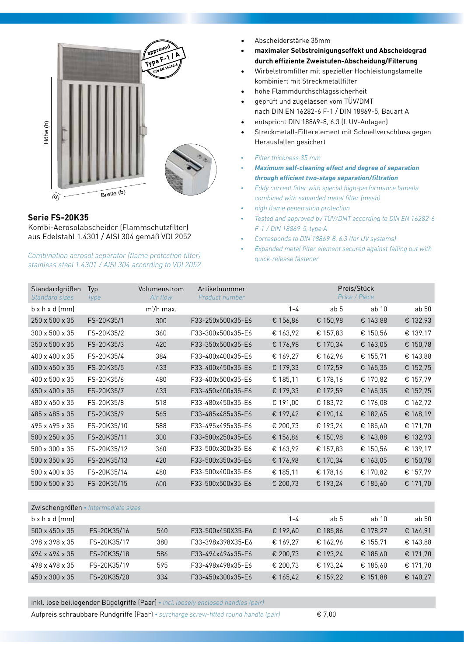

## **Serie FS-20K35**

Kombi-Aerosolabscheider (Flammschutzfilter) aus Edelstahl 1.4301 / AISI 304 gemäß VDI 2052

#### *Combination aerosol separator (flame protection filter) stainless steel 1.4301 / AISI 304 according to VDI 2052*

- **approved** • Abscheiderstärke 35mm
- **Type F1 / A • maximaler Selbstreinigungseffekt und Abscheidegrad DIN EN 16282-6 durch effiziente Zweistufen-Abscheidung/Filterung**
- Wirbelstromfilter mit spezieller Hochleistungslamelle kombiniert mit Streckmetallfilter
- hohe Flammdurchschlagssicherheit
- geprüft und zugelassen vom TÜV/DMT nach DIN EN 16282-6 F-1 / DIN 18869-5, Bauart A
- entspricht DIN 18869-8, 6.3 (f. UV-Anlagen)
- Streckmetall-Filterelement mit Schnellverschluss gegen Herausfallen gesichert
- *• Filter thickness 35 mm*
- *• Maximum self-cleaning effect and degree of separation through efficient two-stage separation/filtration*
- *• Eddy current filter with special high-performance lamella combined with expanded metal filter (mesh)*
- *• high flame penetration protection*
- *• Tested and approved by TÜV/DMT according to DIN EN 16282-6 F-1 / DIN 18869-5, type A*
- *• Corresponds to DIN 18869-8, 6.3 (for UV systems)*
- *• Expanded metal filter element secured against falling out with quick-release fastener*

| Standardgrößen<br>Standard sizes | Typ<br><b>Type</b> | Volumenstrom<br>Air flow | Artikelnummer<br>Product number |          |                 | Preis/Stück<br>Price / Piece |          |
|----------------------------------|--------------------|--------------------------|---------------------------------|----------|-----------------|------------------------------|----------|
| $b \times h \times d$ (mm)       |                    | $m^3/h$ max.             |                                 | $1 - 4$  | ab <sub>5</sub> | ab 10                        | ab 50    |
| 250 x 500 x 35                   | FS-20K35/1         | 300                      | F33-250x500x35-E6               | € 156,86 | € 150,98        | € 143,88                     | € 132,93 |
| 300 x 500 x 35                   | FS-20K35/2         | 360                      | F33-300x500x35-E6               | € 163,92 | € 157,83        | € 150,56                     | € 139,17 |
| 350 x 500 x 35                   | FS-20K35/3         | 420                      | F33-350x500x35-E6               | € 176,98 | € 170,34        | € 163,05                     | € 150,78 |
| 400 x 400 x 35                   | FS-20K35/4         | 384                      | F33-400x400x35-E6               | € 169,27 | € 162,96        | € 155,71                     | € 143,88 |
| 400 x 450 x 35                   | FS-20K35/5         | 433                      | F33-400x450x35-E6               | € 179,33 | € 172,59        | € 165,35                     | € 152,75 |
| 400 x 500 x 35                   | FS-20K35/6         | 480                      | F33-400x500x35-E6               | € 185,11 | € 178,16        | € 170,82                     | € 157,79 |
| 450 x 400 x 35                   | FS-20K35/7         | 433                      | F33-450x400x35-E6               | € 179,33 | € 172,59        | € 165,35                     | € 152,75 |
| 480 x 450 x 35                   | FS-20K35/8         | 518                      | F33-480x450x35-E6               | € 191,00 | € 183,72        | € 176,08                     | € 162,72 |
| 485 x 485 x 35                   | FS-20K35/9         | 565                      | F33-485x485x35-E6               | € 197,42 | € 190,14        | € 182,65                     | € 168,19 |
| 495 x 495 x 35                   | FS-20K35/10        | 588                      | F33-495x495x35-E6               | € 200,73 | € 193,24        | € 185,60                     | € 171,70 |
| 500 x 250 x 35                   | FS-20K35/11        | 300                      | F33-500x250x35-E6               | € 156,86 | € 150,98        | € 143,88                     | € 132,93 |
| 500 x 300 x 35                   | FS-20K35/12        | 360                      | F33-500x300x35-E6               | € 163,92 | € 157,83        | € 150,56                     | € 139,17 |
| 500 x 350 x 35                   | FS-20K35/13        | 420                      | F33-500x350x35-E6               | € 176,98 | € 170,34        | € 163,05                     | € 150,78 |
| 500 x 400 x 35                   | FS-20K35/14        | 480                      | F33-500x400x35-E6               | € 185,11 | € 178,16        | € 170,82                     | € 157,79 |
| 500 x 500 x 35                   | FS-20K35/15        | 600                      | F33-500x500x35-E6               | € 200,73 | € 193,24        | € 185,60                     | € 171,70 |
|                                  |                    |                          |                                 |          |                 |                              |          |

| Zwischengrößen • Intermediate sizes |             |     |                   |          |          |          |          |
|-------------------------------------|-------------|-----|-------------------|----------|----------|----------|----------|
| $b \times h \times d$ (mm)          |             |     |                   | 1-4      | ab 5     | ab 10    | ab 50    |
| $500 \times 450 \times 35$          | FS-20K35/16 | 540 | F33-500x450X35-E6 | € 192,60 | € 185,86 | € 178,27 | € 164,91 |
| 398 x 398 x 35                      | FS-20K35/17 | 380 | F33-398x398X35-E6 | € 169.27 | € 162.96 | € 155.71 | € 143.88 |
| 494 x 494 x 35                      | FS-20K35/18 | 586 | F33-494x494x35-E6 | € 200,73 | € 193,24 | € 185,60 | € 171,70 |
| 498 x 498 x 35                      | FS-20K35/19 | 595 | F33-498x498x35-E6 | € 200.73 | € 193.24 | € 185.60 | € 171,70 |
| 450 x 300 x 35                      | FS-20K35/20 | 334 | F33-450x300x35-E6 | € 165,42 | € 159,22 | € 151,88 | € 140,27 |

inkl. lose beiliegender Bügelgriffe (Paar) *• incl. loosely enclosed handles (pair)*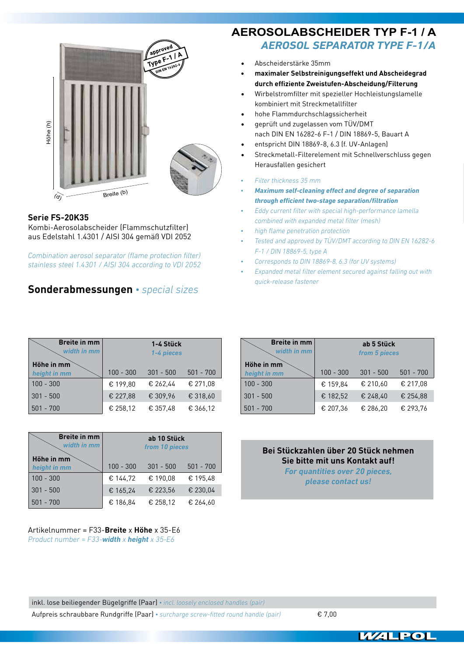

## **Serie FS-20K35**

Kombi-Aerosolabscheider (Flammschutzfilter) aus Edelstahl 1.4301 / AISI 304 gemäß VDI 2052

*Combination aerosol separator (flame protection filter) stainless steel 1.4301 / AISI 304 according to VDI 2052*

# **Sonderabmessungen** *• special sizes*

#### **approved Type F1 / A** *Aerosol separator type F-1/A* **approved AEROSOLABSCHEIDER TYP F-1 / A**

- **DIN EN 16282-6** • Abscheiderstärke 35mm
- **• maximaler Selbstreinigungseffekt und Abscheidegrad durch effiziente Zweistufen-Abscheidung/Filterung**
- Wirbelstromfilter mit spezieller Hochleistungslamelle kombiniert mit Streckmetallfilter
- hohe Flammdurchschlagssicherheit
- geprüft und zugelassen vom TÜV/DMT nach DIN EN 16282-6 F-1 / DIN 18869-5, Bauart A
- entspricht DIN 18869-8, 6.3 (f. UV-Anlagen)
- Streckmetall-Filterelement mit Schnellverschluss gegen Herausfallen gesichert
- *• Filter thickness 35 mm*
- *• Maximum self-cleaning effect and degree of separation through efficient two-stage separation/filtration*
- *• Eddy current filter with special high-performance lamella combined with expanded metal filter (mesh)*
- *• high flame penetration protection*
- *• Tested and approved by TÜV/DMT according to DIN EN 16282-6 F-1 / DIN 18869-5, type A*
- *• Corresponds to DIN 18869-8, 6.3 (for UV systems)*
- *• Expanded metal filter element secured against falling out with quick-release fastener*

| <b>Breite in mm</b><br>width in mm | 1-4 Stück<br>1-4 pieces |             |             |  |
|------------------------------------|-------------------------|-------------|-------------|--|
| Höhe in mm<br>height in mm         | $100 - 300$             | $301 - 500$ | $501 - 700$ |  |
| $100 - 300$                        | € 199.80                | € 262.44    | € 271.08    |  |
| $301 - 500$                        | € 227.88                | € 309,96    | € 318,60    |  |
| $501 - 700$                        | € 258,12                | € 357.48    | € 366,12    |  |

| <b>Breite in mm</b><br>width in mm | ab 10 Stück<br>from 10 pieces |             |             |  |  |
|------------------------------------|-------------------------------|-------------|-------------|--|--|
| Höhe in mm<br>height in mm         | $100 - 300$                   | $301 - 500$ | $501 - 700$ |  |  |
| $100 - 300$                        | € 144.72                      | € 190,08    | € 195.48    |  |  |
| $301 - 500$                        | € 165,24                      | € 223,56    | € 230.04    |  |  |
| $501 - 700$                        | € 186,84                      | € 258,12    | € 264.60    |  |  |

Artikelnummer = F33-**Breite** x **Höhe** x 35-E6 *Product number = F33-width x height x 35-E6*

| <b>Breite in mm</b><br>width in mm | ab 5 Stück<br>from 5 pieces               |          |          |  |  |
|------------------------------------|-------------------------------------------|----------|----------|--|--|
| Höhe in mm<br>height in mm         | $100 - 300$<br>$501 - 700$<br>$301 - 500$ |          |          |  |  |
| $100 - 300$                        | € 159.84                                  | € 210,60 | € 217,08 |  |  |
| $301 - 500$                        | € 182,52                                  | € 248.40 | € 254.88 |  |  |
| $501 - 700$                        | € 207.36                                  | € 286.20 | € 293.76 |  |  |

**Bei Stückzahlen über 20 Stück nehmen Sie bitte mit uns Kontakt auf!** *For quantities over 20 pieces, please contact us!*

inkl. lose beiliegender Bügelgriffe (Paar) *• incl. loosely enclosed handles (pair)* Aufpreis schraubbare Rundgriffe (Paar) *• surcharge screw-fitted round handle (pair)* € 7,00